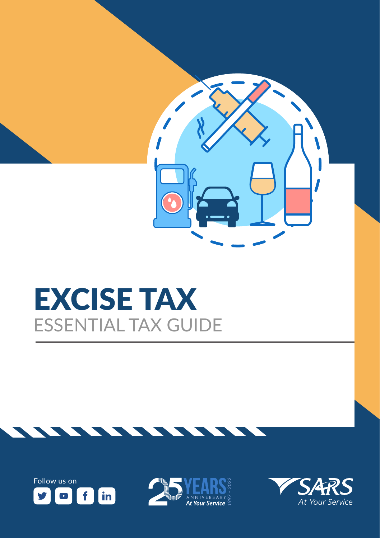

## EXCISE TAX ESSENTIAL TAX GUIDE





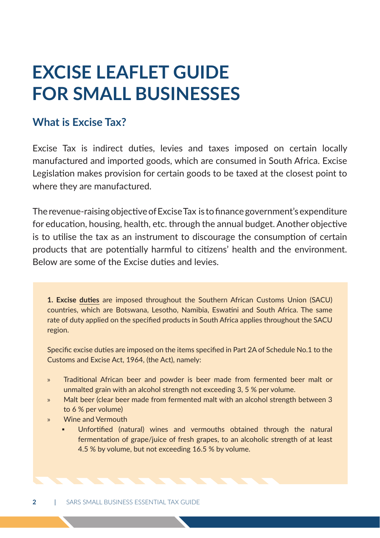### **EXCISE LEAFLET GUIDE FOR SMALL BUSINESSES**

#### **What is Excise Tax?**

Excise Tax is indirect duties, levies and taxes imposed on certain locally manufactured and imported goods, which are consumed in South Africa. Excise Legislation makes provision for certain goods to be taxed at the closest point to where they are manufactured.

The revenue-raising objective of Excise Tax is to finance government's expenditure for education, housing, health, etc. through the annual budget. Another objective is to utilise the tax as an instrument to discourage the consumption of certain products that are potentially harmful to citizens' health and the environment. Below are some of the Excise duties and levies.

**1. Excise duties** are imposed throughout the Southern African Customs Union (SACU) countries, which are Botswana, Lesotho, Namibia, Eswatini and South Africa. The same rate of duty applied on the specified products in South Africa applies throughout the SACU region.

Specific excise duties are imposed on the items specified in Part 2A of Schedule No.1 to the Customs and Excise Act, 1964, (the Act), namely:

- » Traditional African beer and powder is beer made from fermented beer malt or unmalted grain with an alcohol strength not exceeding 3, 5 % per volume.
- » Malt beer (clear beer made from fermented malt with an alcohol strength between 3 to 6 % per volume)
- » Wine and Vermouth
	- Unfortified (natural) wines and vermouths obtained through the natural fermentation of grape/juice of fresh grapes, to an alcoholic strength of at least 4.5 % by volume, but not exceeding 16.5 % by volume.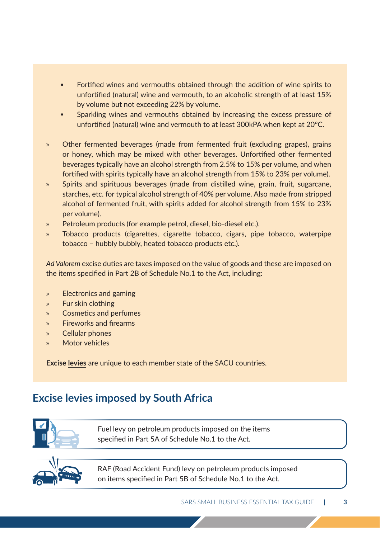- Fortified wines and vermouths obtained through the addition of wine spirits to unfortified (natural) wine and vermouth, to an alcoholic strength of at least 15% by volume but not exceeding 22% by volume.
- Sparkling wines and vermouths obtained by increasing the excess pressure of unfortified (natural) wine and vermouth to at least 300kPA when kept at 20°C.
- » Other fermented beverages (made from fermented fruit (excluding grapes), grains or honey, which may be mixed with other beverages. Unfortified other fermented beverages typically have an alcohol strength from 2.5% to 15% per volume, and when fortified with spirits typically have an alcohol strength from 15% to 23% per volume).
- Spirits and spirituous beverages (made from distilled wine, grain, fruit, sugarcane, starches, etc. for typical alcohol strength of 40% per volume. Also made from stripped alcohol of fermented fruit, with spirits added for alcohol strength from 15% to 23% per volume).
- » Petroleum products (for example petrol, diesel, bio-diesel etc.).
- » Tobacco products (cigarettes, cigarette tobacco, cigars, pipe tobacco, waterpipe tobacco – hubbly bubbly, heated tobacco products etc.).

*Ad Valorem* excise duties are taxes imposed on the value of goods and these are imposed on the items specified in Part 2B of Schedule No.1 to the Act, including:

- » Electronics and gaming
- » Fur skin clothing
- » Cosmetics and perfumes
- » Fireworks and firearms
- » Cellular phones
- » Motor vehicles

**Excise levies** are unique to each member state of the SACU countries.

#### **Excise levies imposed by South Africa**



Fuel levy on petroleum products imposed on the items specified in Part 5A of Schedule No.1 to the Act.



RAF (Road Accident Fund) levy on petroleum products imposed on items specified in Part 5B of Schedule No.1 to the Act.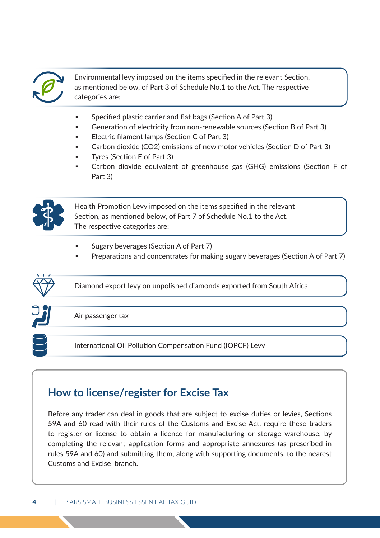

 Environmental levy imposed on the items specified in the relevant Section, as mentioned below, of Part 3 of Schedule No.1 to the Act. The respective categories are:

- Specified plastic carrier and flat bags (Section A of Part 3)
- Generation of electricity from non-renewable sources (Section B of Part 3)
- Electric filament lamps (Section C of Part 3)
- Carbon dioxide (CO2) emissions of new motor vehicles (Section D of Part 3)
- Tyres (Section E of Part 3)
- Carbon dioxide equivalent of greenhouse gas (GHG) emissions (Section F of Part 3)



Health Promotion Levy imposed on the items specified in the relevant Section, as mentioned below, of Part 7 of Schedule No.1 to the Act. The respective categories are:

- Sugary beverages (Section A of Part 7)
- Preparations and concentrates for making sugary beverages (Section A of Part 7)



#### **How to license/register for Excise Tax**

Before any trader can deal in goods that are subject to excise duties or levies, Sections 59A and 60 read with their rules of the Customs and Excise Act, require these traders to register or license to obtain a licence for manufacturing or storage warehouse, by completing the relevant application forms and appropriate annexures (as prescribed in rules 59A and 60) and submitting them, along with supporting documents, to the nearest Customs and Excise branch.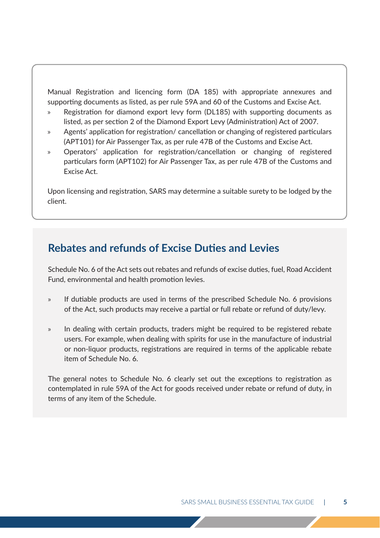Manual Registration and licencing form (DA 185) with appropriate annexures and supporting documents as listed, as per rule 59A and 60 of the Customs and Excise Act.

- » Registration for diamond export levy form (DL185) with supporting documents as listed, as per section 2 of the Diamond Export Levy (Administration) Act of 2007.
- » Agents' application for registration/ cancellation or changing of registered particulars (APT101) for Air Passenger Tax, as per rule 47B of the Customs and Excise Act.
- » Operators' application for registration/cancellation or changing of registered particulars form (APT102) for Air Passenger Tax, as per rule 47B of the Customs and Excise Act.

Upon licensing and registration, SARS may determine a suitable surety to be lodged by the client.

#### **Rebates and refunds of Excise Duties and Levies**

Schedule No. 6 of the Act sets out rebates and refunds of excise duties, fuel, Road Accident Fund, environmental and health promotion levies.

- » If dutiable products are used in terms of the prescribed Schedule No. 6 provisions of the Act, such products may receive a partial or full rebate or refund of duty/levy.
- » In dealing with certain products, traders might be required to be registered rebate users. For example, when dealing with spirits for use in the manufacture of industrial or non-liquor products, registrations are required in terms of the applicable rebate item of Schedule No. 6.

The general notes to Schedule No. 6 clearly set out the exceptions to registration as contemplated in rule 59A of the Act for goods received under rebate or refund of duty, in terms of any item of the Schedule.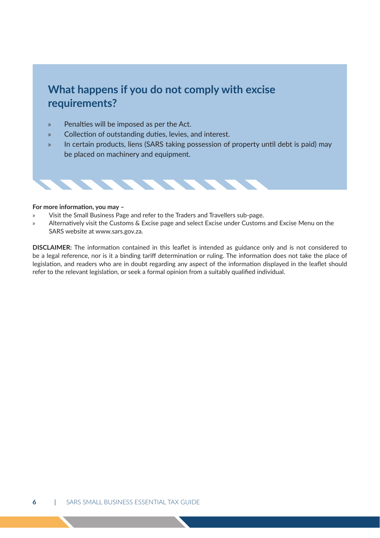#### **What happens if you do not comply with excise requirements?**

- » Penalties will be imposed as per the Act.
- » Collection of outstanding duties, levies, and interest.
- » In certain products, liens (SARS taking possession of property until debt is paid) may be placed on machinery and equipment.



#### **For more information, you may –**

- » Visit the Small Business Page and refer to the Traders and Travellers sub-page.
- » Alternatively visit the Customs & Excise page and select Excise under Customs and Excise Menu on the SARS website at www.sars.gov.za.

**DISCLAIMER:** The information contained in this leaflet is intended as guidance only and is not considered to be a legal reference, nor is it a binding tariff determination or ruling. The information does not take the place of legislation, and readers who are in doubt regarding any aspect of the information displayed in the leaflet should refer to the relevant legislation, or seek a formal opinion from a suitably qualified individual.